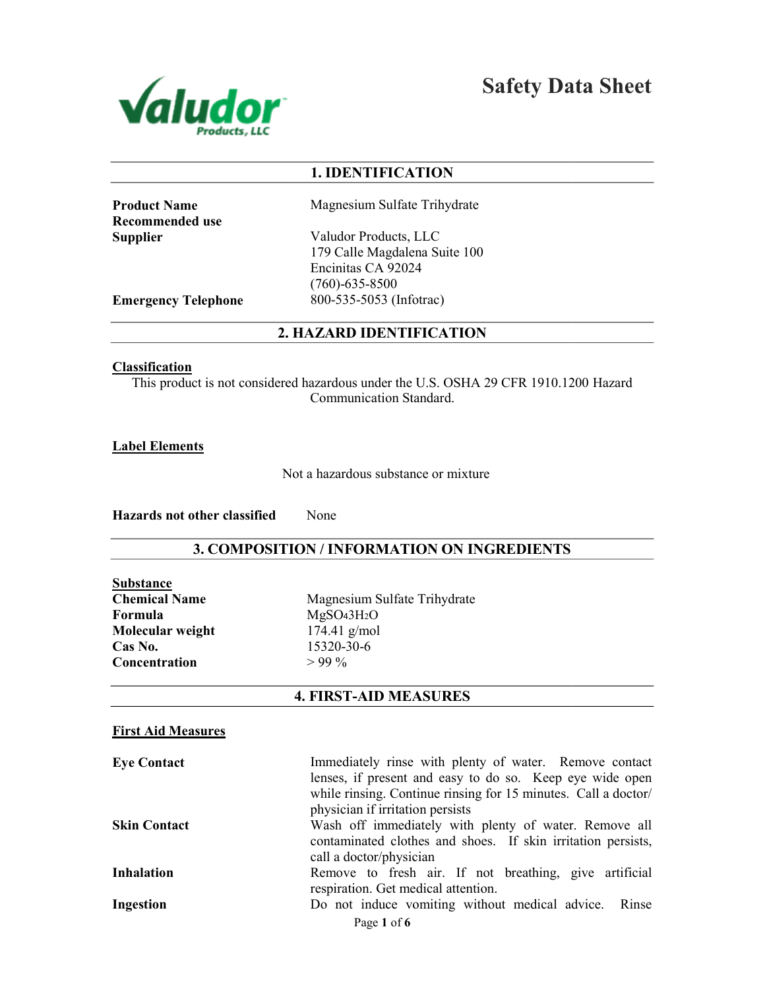

Safety Data Sheet

# 1. IDENTIFICATION

Product Name Recommended use **Supplier** 

Magnesium Sulfate Trihydrate

Valudor Products, LLC 179 Calle Magdalena Suite 100 Encinitas CA 92024 (760)-635-8500 800-535-5053 (Infotrac)

Emergency Telephone

# 2. HAZARD IDENTIFICATION

#### **Classification**

This product is not considered hazardous under the U.S. OSHA 29 CFR 1910.1200 Hazard<br>Communication Standard.

Label Elements

Not a hazardous substance or mixture

Hazards not other classified None

# 3. COMPOSITION / INFORMATION ON INGREDIENTS

| Substance            |
|----------------------|
| <b>Chemical Name</b> |
| Formula              |
| Molecular weight     |
| Cas No.              |
| Concentration        |

Magnesium Sulfate Trihydrate MgSO43H2O 174.41 g/mol 15320-30-6  $> 99\%$ 

## 4. FIRST-AID MEASURES

# First Aid Measures

| <b>Eye Contact</b>  | Immediately rinse with plenty of water. Remove contact         |
|---------------------|----------------------------------------------------------------|
|                     | lenses, if present and easy to do so. Keep eye wide open       |
|                     | while rinsing. Continue rinsing for 15 minutes. Call a doctor/ |
|                     | physician if irritation persists                               |
| <b>Skin Contact</b> | Wash off immediately with plenty of water. Remove all          |
|                     | contaminated clothes and shoes. If skin irritation persists,   |
|                     | call a doctor/physician                                        |
| <b>Inhalation</b>   | Remove to fresh air. If not breathing, give artificial         |
|                     | respiration. Get medical attention.                            |
| Ingestion           | Do not induce vomiting without medical advice. Rinse           |
|                     | Page 1 of 6                                                    |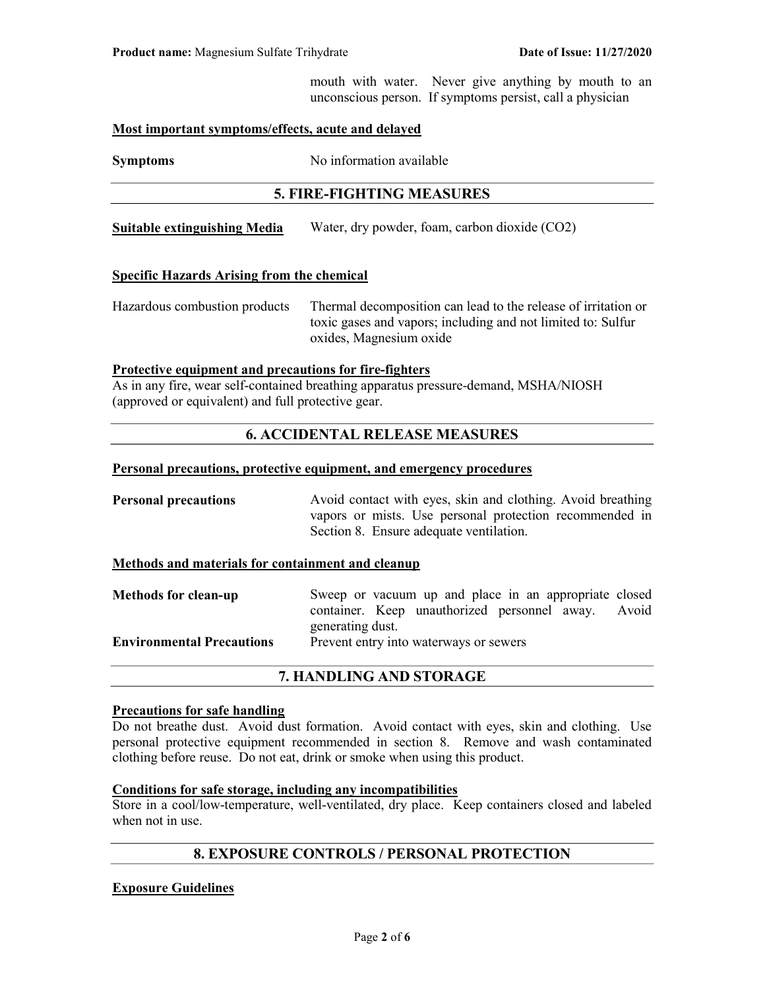mouth with water. Never give anything by mouth to an unconscious person. If symptoms persist, call a physician

### Most important symptoms/effects, acute and delayed

Symptoms No information available

# 5. FIRE-FIGHTING MEASURES

Suitable extinguishing Media Water, dry powder, foam, carbon dioxide (CO2)

### Specific Hazards Arising from the chemical

Hazardous combustion products Thermal decomposition can lead to the release of irritation or toxic gases and vapors; including and not limited to: Sulfur oxides, Magnesium oxide

### Protective equipment and precautions for fire-fighters

As in any fire, wear self-contained breathing apparatus pressure-demand, MSHA/NIOSH (approved or equivalent) and full protective gear.

# 6. ACCIDENTAL RELEASE MEASURES

#### Personal precautions, protective equipment, and emergency procedures

**Personal precautions** Avoid contact with eyes, skin and clothing. Avoid breathing vapors or mists. Use personal protection recommended in Section 8. Ensure adequate ventilation.

### Methods and materials for containment and cleanup

| <b>Methods for clean-up</b>      | Sweep or vacuum up and place in an appropriate closed |  |
|----------------------------------|-------------------------------------------------------|--|
|                                  | container. Keep unauthorized personnel away. Avoid    |  |
|                                  | generating dust.                                      |  |
| <b>Environmental Precautions</b> | Prevent entry into waterways or sewers                |  |
|                                  |                                                       |  |

### 7. HANDLING AND STORAGE

#### Precautions for safe handling

Do not breathe dust. Avoid dust formation. Avoid contact with eyes, skin and clothing. Use personal protective equipment recommended in section 8. Remove and wash contaminated clothing before reuse. Do not eat, drink or smoke when using this product.

## Conditions for safe storage, including any incompatibilities

Store in a cool/low-temperature, well-ventilated, dry place. Keep containers closed and labeled when not in use.

# 8. EXPOSURE CONTROLS / PERSONAL PROTECTION

### Exposure Guidelines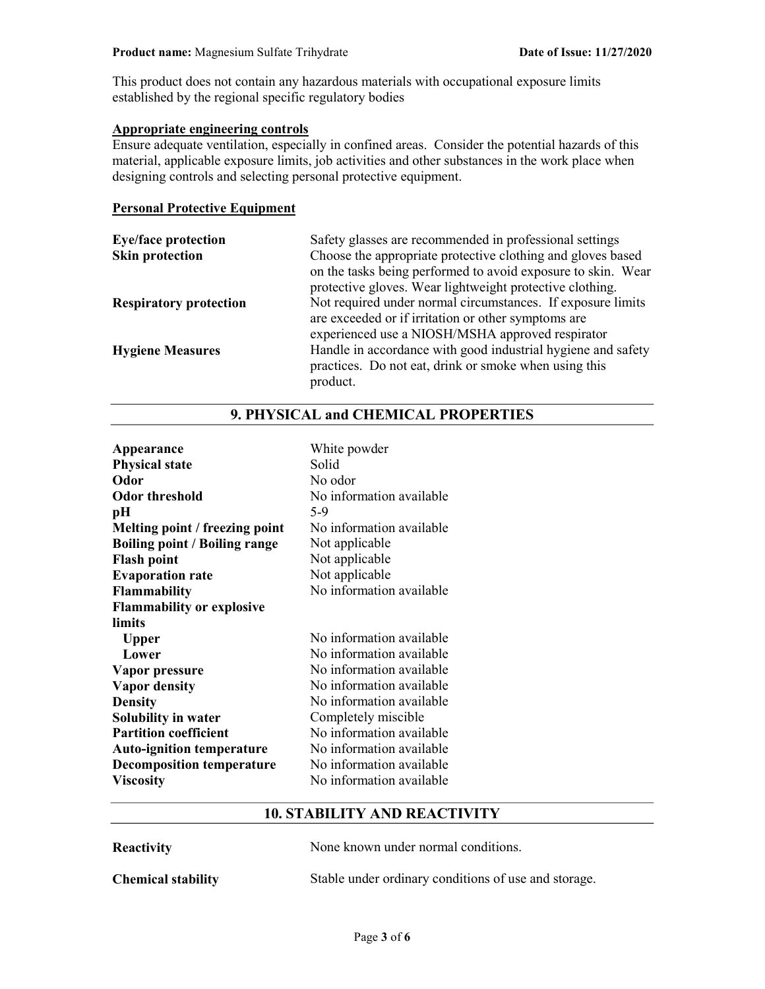This product does not contain any hazardous materials with occupational exposure limits established by the regional specific regulatory bodies

# Appropriate engineering controls

Ensure adequate ventilation, especially in confined areas. Consider the potential hazards of this material, applicable exposure limits, job activities and other substances in the work place when designing controls and selecting personal protective equipment.

### Personal Protective Equipment

| <b>Eye/face protection</b>    | Safety glasses are recommended in professional settings      |
|-------------------------------|--------------------------------------------------------------|
| <b>Skin protection</b>        | Choose the appropriate protective clothing and gloves based  |
|                               | on the tasks being performed to avoid exposure to skin. Wear |
|                               | protective gloves. Wear lightweight protective clothing.     |
| <b>Respiratory protection</b> | Not required under normal circumstances. If exposure limits  |
|                               | are exceeded or if irritation or other symptoms are          |
|                               | experienced use a NIOSH/MSHA approved respirator             |
| <b>Hygiene Measures</b>       | Handle in accordance with good industrial hygiene and safety |
|                               | practices. Do not eat, drink or smoke when using this        |
|                               | product.                                                     |

| Appearance                           | White powder             |
|--------------------------------------|--------------------------|
| <b>Physical state</b>                | Solid                    |
| Odor                                 | No odor                  |
| <b>Odor threshold</b>                | No information available |
| pН                                   | 5-9                      |
| Melting point / freezing point       | No information available |
| <b>Boiling point / Boiling range</b> | Not applicable           |
| <b>Flash point</b>                   | Not applicable           |
| <b>Evaporation rate</b>              | Not applicable           |
| Flammability                         | No information available |
| <b>Flammability or explosive</b>     |                          |
| limits                               |                          |
| <b>Upper</b>                         | No information available |
| Lower                                | No information available |
| Vapor pressure                       | No information available |
| <b>Vapor density</b>                 | No information available |
| <b>Density</b>                       | No information available |
| Solubility in water                  | Completely miscible      |
| <b>Partition coefficient</b>         | No information available |
| <b>Auto-ignition temperature</b>     | No information available |
| <b>Decomposition temperature</b>     | No information available |
| <b>Viscosity</b>                     | No information available |

# 9. PHYSICAL and CHEMICAL PROPERTIES

# 10. STABILITY AND REACTIVITY

| <b>Reactivity</b>         | None known under normal conditions.                  |
|---------------------------|------------------------------------------------------|
| <b>Chemical stability</b> | Stable under ordinary conditions of use and storage. |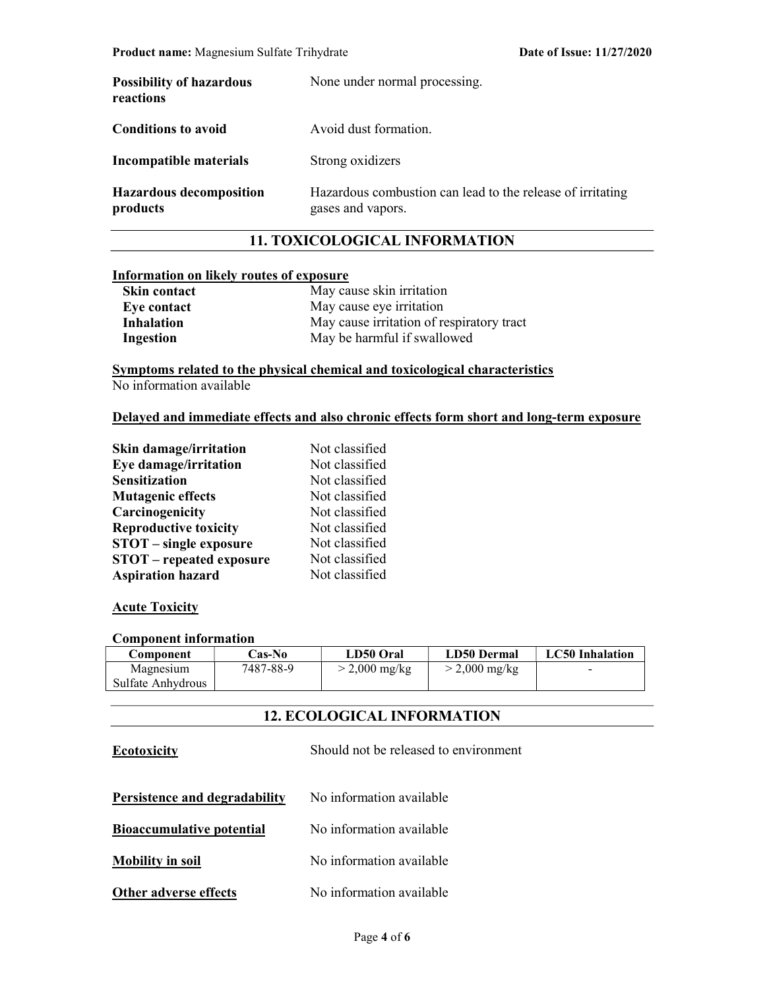| <b>Possibility of hazardous</b><br>reactions | None under normal processing.                                                   |
|----------------------------------------------|---------------------------------------------------------------------------------|
| <b>Conditions to avoid</b>                   | Avoid dust formation.                                                           |
| Incompatible materials                       | Strong oxidizers                                                                |
| <b>Hazardous decomposition</b><br>products   | Hazardous combustion can lead to the release of irritating<br>gases and vapors. |

# 11. TOXICOLOGICAL INFORMATION

# Information on likely routes of exposure

| Skin contact | May cause skin irritation                 |
|--------------|-------------------------------------------|
| Eye contact  | May cause eye irritation                  |
| Inhalation   | May cause irritation of respiratory tract |
| Ingestion    | May be harmful if swallowed               |

Symptoms related to the physical chemical and toxicological characteristics No information available

### Delayed and immediate effects and also chronic effects form short and long-term exposure

| <b>Skin damage/irritation</b>   | Not classified |
|---------------------------------|----------------|
| Eye damage/irritation           | Not classified |
| <b>Sensitization</b>            | Not classified |
| <b>Mutagenic effects</b>        | Not classified |
| Carcinogenicity                 | Not classified |
| <b>Reproductive toxicity</b>    | Not classified |
| <b>STOT</b> – single exposure   | Not classified |
| <b>STOT</b> – repeated exposure | Not classified |
| <b>Aspiration hazard</b>        | Not classified |

### **Acute Toxicity**

# Component information

| Component         | <b>Cas-No</b> | LD50 Oral           | <b>LD50 Dermal</b>      | <b>LC50 Inhalation</b> |
|-------------------|---------------|---------------------|-------------------------|------------------------|
| Magnesium         | 7487-88-9     | $\cdot$ 2,000 mg/kg | $> 2,000 \text{ mg/kg}$ | -                      |
| Sulfate Anhydrous |               |                     |                         |                        |

# 12. ECOLOGICAL INFORMATION

| <b>Ecotoxicity</b>               | Should not be released to environment |
|----------------------------------|---------------------------------------|
| Persistence and degradability    | No information available              |
| <b>Bioaccumulative potential</b> | No information available              |
| <b>Mobility in soil</b>          | No information available              |
| Other adverse effects            | No information available              |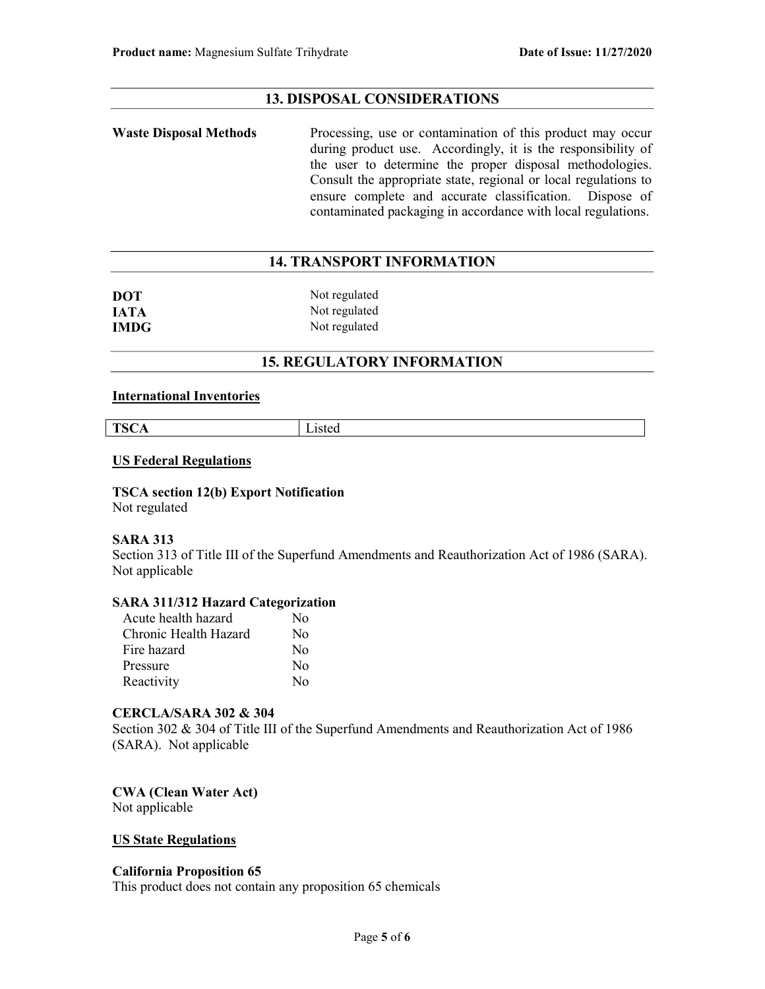# 13. DISPOSAL CONSIDERATIONS

Waste Disposal Methods Processing, use or contamination of this product may occur during product use. Accordingly, it is the responsibility of the user to determine the proper disposal methodologies. Consult the appropriate state, regional or local regulations to ensure complete and accurate classification. Dispose of contaminated packaging in accordance with local regulations.

# 14. TRANSPORT INFORMATION

| <b>DOT</b>  | Not regulated |
|-------------|---------------|
| <b>IATA</b> | Not regulated |
| <b>IMDG</b> | Not regulated |

# 15. REGULATORY INFORMATION

### International Inventories

| m.<br>.,<br>71<br>- -<br>-<br>10011 | $ -$<br>$\sim$<br>_____ |
|-------------------------------------|-------------------------|
|                                     |                         |

### US Federal Regulations

TSCA section 12(b) Export Notification Not regulated

### SARA 313

Section 313 of Title III of the Superfund Amendments and Reauthorization Act of 1986 (SARA). Not applicable

### SARA 311/312 Hazard Categorization

| Acute health hazard   | No       |
|-----------------------|----------|
| Chronic Health Hazard | $\rm No$ |
| Fire hazard           | No       |
| Pressure              | No       |
| Reactivity            | $\rm No$ |

### CERCLA/SARA 302 & 304

Section 302 & 304 of Title III of the Superfund Amendments and Reauthorization Act of 1986 (SARA). Not applicable

CWA (Clean Water Act)

Not applicable

# US State Regulations

### California Proposition 65

This product does not contain any proposition 65 chemicals